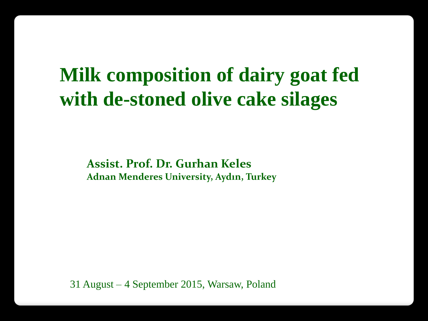# **Milk composition of dairy goat fed with de-stoned olive cake silages**

**Assist. Prof. Dr. Gurhan Keles Adnan Menderes University, Aydın, Turkey**

31 August – 4 September 2015, Warsaw, Poland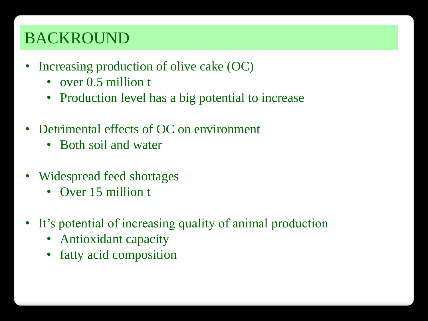# BACKROUND

- Increasing production of olive cake (OC)
	- over 0.5 million t
	- Production level has a big potential to increase
- Detrimental effects of OC on environment
	- Both soil and water
- Widespread feed shortages
	- Over 15 million t
- It's potential of increasing quality of animal production
	- Antioxidant capacity
	- fatty acid composition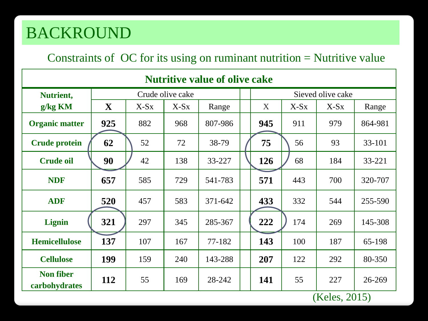# BACKROUND

#### Constraints of OC for its using on ruminant nutrition = Nutritive value

| <b>Nutritive value of olive cake</b> |                  |        |        |         |  |                   |        |                      |                               |  |  |  |
|--------------------------------------|------------------|--------|--------|---------|--|-------------------|--------|----------------------|-------------------------------|--|--|--|
| Nutrient,                            | Crude olive cake |        |        |         |  | Sieved olive cake |        |                      |                               |  |  |  |
| $g/kg$ KM                            | $\mathbf X$      | $X-Sx$ | $X-Sx$ | Range   |  | X                 | $X-Sx$ | $X-Sx$               | Range                         |  |  |  |
| <b>Organic matter</b>                | 925              | 882    | 968    | 807-986 |  | 945               | 911    | 979                  | 864-981                       |  |  |  |
| <b>Crude protein</b>                 | 62               | 52     | 72     | 38-79   |  | 75                | 56     | 93                   | 33-101                        |  |  |  |
| <b>Crude oil</b>                     | 90               | 42     | 138    | 33-227  |  | <b>126</b>        | 68     | 184                  | 33-221                        |  |  |  |
| <b>NDF</b>                           | 657              | 585    | 729    | 541-783 |  | 571               | 443    | 700                  | 320-707                       |  |  |  |
| <b>ADF</b>                           | 520              | 457    | 583    | 371-642 |  | 433               | 332    | 544                  | 255-590                       |  |  |  |
| Lignin                               | 321              | 297    | 345    | 285-367 |  | 222               | 174    | 269                  | 145-308                       |  |  |  |
| <b>Hemicellulose</b>                 | 137              | 107    | 167    | 77-182  |  | 143               | 100    | 187                  | 65-198                        |  |  |  |
| <b>Cellulose</b>                     | 199              | 159    | 240    | 143-288 |  | 207               | 122    | 292                  | 80-350                        |  |  |  |
| <b>Non fiber</b><br>carbohydrates    | 112              | 55     | 169    | 28-242  |  | 141               | 55     | 227<br>$\sqrt{17}$ 1 | 26-269<br>$\bigcap \bigcap A$ |  |  |  |

(Keles, 2015)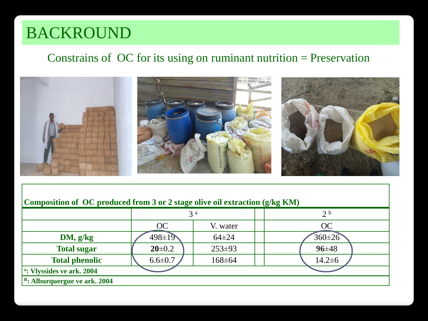# BACKROUND

#### Constrains of OC for its using on ruminant nutrition = Preservation



#### **Composition of OC produced from 3 or 2 stage olive oil extraction (g/kg KM)**

|                                          |               | 3 <sup>a</sup> |  | 2 <sup>b</sup> |  |  |  |  |
|------------------------------------------|---------------|----------------|--|----------------|--|--|--|--|
|                                          | OC            | V. water       |  | <b>OC</b>      |  |  |  |  |
| DM, g/kg                                 | $498 \pm 19$  | $64\pm24$      |  | $360 \pm 26$   |  |  |  |  |
| <b>Total sugar</b>                       | $20 \pm 0.2$  | $253 \pm 93$   |  | $96 + 48$      |  |  |  |  |
| <b>Total phenolic</b>                    | $6.6 \pm 0.7$ | 168±64         |  | $14.2 \pm 6$   |  |  |  |  |
| <sup>a</sup> : Vlyssides ve ark. 2004    |               |                |  |                |  |  |  |  |
| <sup>B</sup> : Alburquergue ve ark. 2004 |               |                |  |                |  |  |  |  |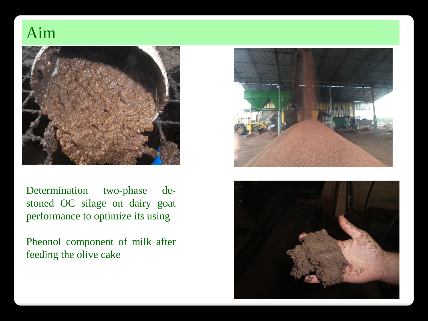### Aim



Determination two-phase destoned OC silage on dairy goat performance to optimize its using

Pheonol component of milk after feeding the olive cake



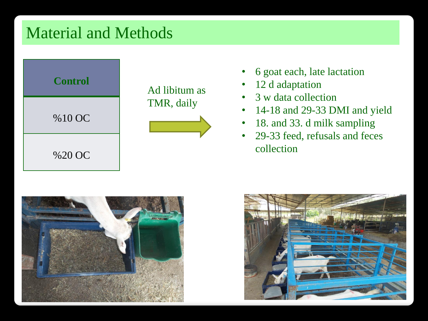## Material and Methods



- 6 goat each, late lactation
- 12 d adaptation
- 3 w data collection
- 14-18 and 29-33 DMI and yield
- 18. and 33. d milk sampling
- 29-33 feed, refusals and feces collection



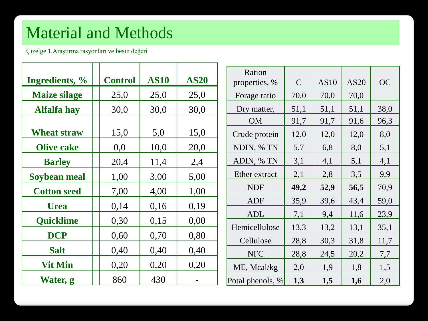# Material and Methods

Çizelge 1.Araştırma rasyonları ve besin değeri

| Ingredients, %      | <b>Control</b> | <b>AS10</b> | <b>AS20</b> | Ration<br>properties, % | $\mathcal{C}$ | AS10 | AS20 | <b>OC</b> |
|---------------------|----------------|-------------|-------------|-------------------------|---------------|------|------|-----------|
| <b>Maize silage</b> | 25,0           | 25,0        | 25,0        | Forage ratio            | 70,0          | 70,0 | 70,0 |           |
| <b>Alfalfa hay</b>  | 30,0           | 30,0        | 30,0        | Dry matter,             | 51,1          | 51,1 | 51,1 | 38,0      |
|                     |                |             |             | <b>OM</b>               | 91,7          | 91,7 | 91,6 | 96,3      |
| <b>Wheat straw</b>  | 15,0           | 5,0         | 15,0        | Crude protein           | 12,0          | 12,0 | 12,0 | 8,0       |
| <b>Olive cake</b>   | 0,0            | 10,0        | 20,0        | NDIN, % TN              | 5,7           | 6,8  | 8,0  | 5,1       |
| <b>Barley</b>       | 20,4           | 11,4        | 2,4         | ADIN, % TN              | 3,1           | 4,1  | 5,1  | 4,1       |
| Soybean meal        | 1,00           | 3,00        | 5,00        | Ether extract           | 2,1           | 2,8  | 3,5  | 9,9       |
| <b>Cotton seed</b>  | 7,00           | 4,00        | 1,00        | <b>NDF</b>              | 49,2          | 52,9 | 56,5 | 70,9      |
| <b>Urea</b>         | 0,14           | 0,16        | 0,19        | ADF                     | 35,9          | 39,6 | 43,4 | 59,0      |
|                     |                |             |             | <b>ADL</b>              | 7,1           | 9,4  | 11,6 | 23,9      |
| <b>Ouicklime</b>    | 0,30           | 0,15        | 0,00        | Hemicellulose           | 13,3          | 13,2 | 13,1 | 35,1      |
| <b>DCP</b>          | 0,60           | 0,70        | 0,80        | Cellulose               | 28,8          | 30,3 | 31,8 | 11,7      |
| <b>Salt</b>         | 0,40           | 0,40        | 0,40        | <b>NFC</b>              | 28,8          | 24,5 | 20,2 | 7,7       |
| <b>Vit Min</b>      | 0,20           | 0,20        | 0,20        | ME, Mcal/kg             | 2,0           | 1,9  | 1,8  | 1,5       |
| Water, g            | 860            | 430         |             | Potal phenols, %        | 1,3           | 1,5  | 1,6  | 2,0       |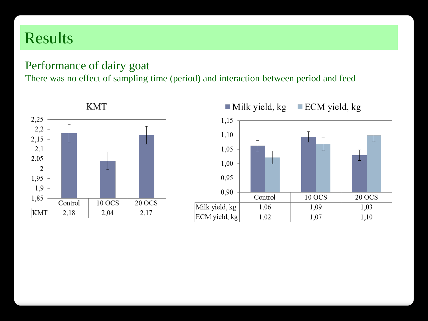## Results

#### Performance of dairy goat

There was no effect of sampling time (period) and interaction between period and feed



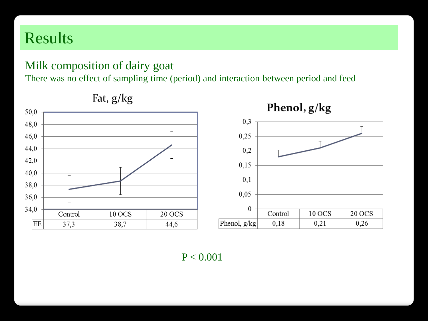## Results

#### Milk composition of dairy goat

There was no effect of sampling time (period) and interaction between period and feed



Fat, g/kg

 $P < 0.001$